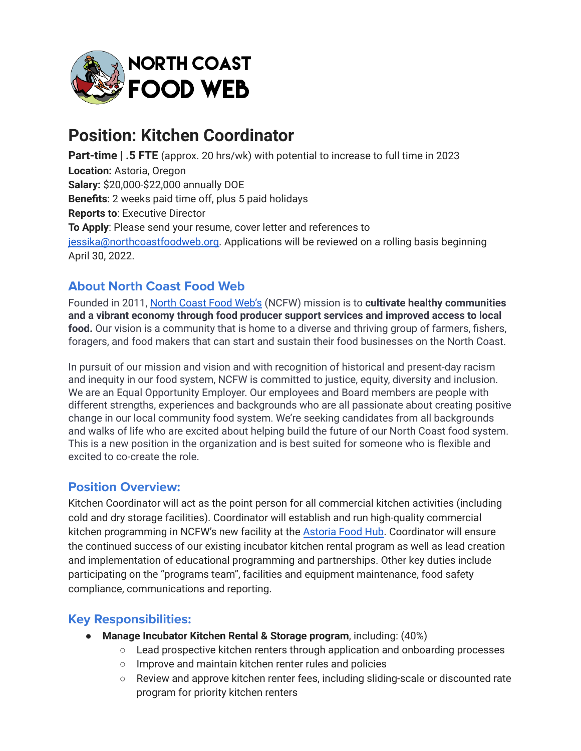

# **Position: Kitchen Coordinator**

**Part-time | .5 FTE** (approx. 20 hrs/wk) with potential to increase to full time in 2023 **Location:** Astoria, Oregon **Salary:** \$20,000-\$22,000 annually DOE **Benefits**: 2 weeks paid time off, plus 5 paid holidays **Reports to**: Executive Director **To Apply**: Please send your resume, cover letter and references to [jessika@northcoastfoodweb.org.](mailto:jessika@northcoastfoodweb.org) Applications will be reviewed on a rolling basis beginning April 30, 2022.

## **About North Coast Food Web**

Founded in 2011, North [Coast](http://www.northcoastfoodweb.org) Food Web's (NCFW) mission is to **cultivate healthy communities and a vibrant economy through food producer support services and improved access to local food.** Our vision is a community that is home to a diverse and thriving group of farmers, fishers, foragers, and food makers that can start and sustain their food businesses on the North Coast.

In pursuit of our mission and vision and with recognition of historical and present-day racism and inequity in our food system, NCFW is committed to justice, equity, diversity and inclusion. We are an Equal Opportunity Employer. Our employees and Board members are people with different strengths, experiences and backgrounds who are all passionate about creating positive change in our local community food system. We're seeking candidates from all backgrounds and walks of life who are excited about helping build the future of our North Coast food system. This is a new position in the organization and is best suited for someone who is flexible and excited to co-create the role.

### **Position Overview:**

Kitchen Coordinator will act as the point person for all commercial kitchen activities (including cold and dry storage facilities). Coordinator will establish and run high-quality commercial kitchen programming in NCFW's new facility at the [Astoria](https://astoriafoodhub.com/) Food Hub. Coordinator will ensure the continued success of our existing incubator kitchen rental program as well as lead creation and implementation of educational programming and partnerships. Other key duties include participating on the "programs team", facilities and equipment maintenance, food safety compliance, communications and reporting.

### **Key Responsibilities:**

- **Manage Incubator Kitchen Rental & Storage program**, including: (40%)
	- Lead prospective kitchen renters through application and onboarding processes
	- Improve and maintain kitchen renter rules and policies
	- Review and approve kitchen renter fees, including sliding-scale or discounted rate program for priority kitchen renters